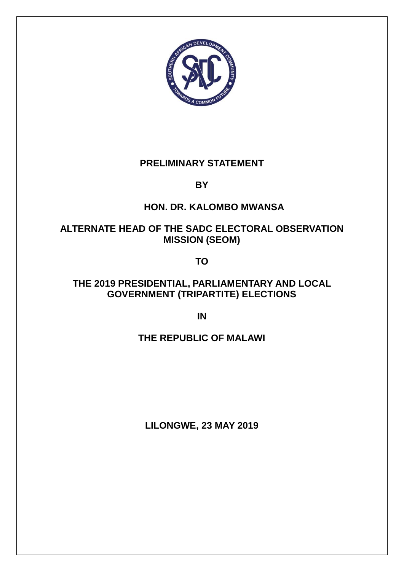

# **PRELIMINARY STATEMENT**

**BY**

# **HON. DR. KALOMBO MWANSA**

# **ALTERNATE HEAD OF THE SADC ELECTORAL OBSERVATION MISSION (SEOM)**

**TO** 

# **THE 2019 PRESIDENTIAL, PARLIAMENTARY AND LOCAL GOVERNMENT (TRIPARTITE) ELECTIONS**

**IN** 

# **THE REPUBLIC OF MALAWI**

**LILONGWE, 23 MAY 2019**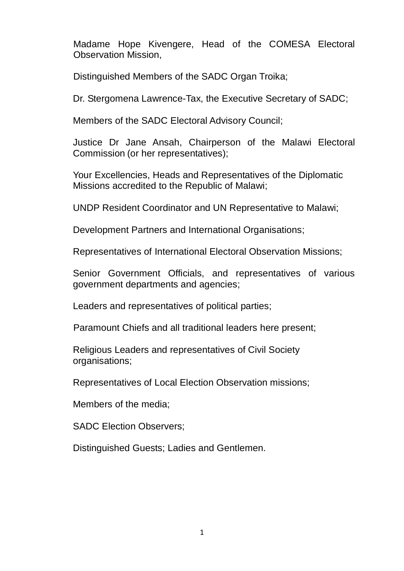Madame Hope Kivengere, Head of the COMESA Electoral Observation Mission,

Distinguished Members of the SADC Organ Troika;

Dr. Stergomena Lawrence-Tax, the Executive Secretary of SADC;

Members of the SADC Electoral Advisory Council;

Justice Dr Jane Ansah, Chairperson of the Malawi Electoral Commission (or her representatives);

Your Excellencies, Heads and Representatives of the Diplomatic Missions accredited to the Republic of Malawi;

UNDP Resident Coordinator and UN Representative to Malawi;

Development Partners and International Organisations;

Representatives of International Electoral Observation Missions;

Senior Government Officials, and representatives of various government departments and agencies;

Leaders and representatives of political parties;

Paramount Chiefs and all traditional leaders here present;

Religious Leaders and representatives of Civil Society organisations;

Representatives of Local Election Observation missions;

Members of the media;

SADC Election Observers;

Distinguished Guests; Ladies and Gentlemen.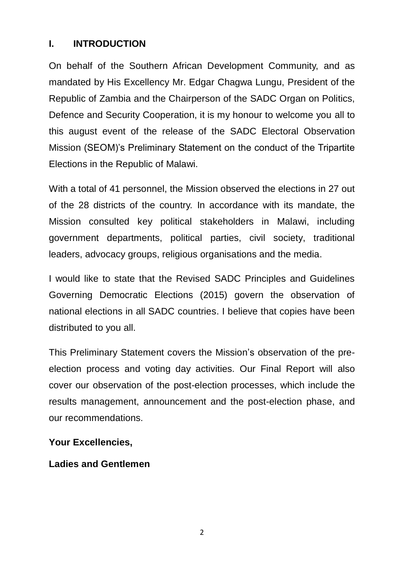# **I. INTRODUCTION**

On behalf of the Southern African Development Community, and as mandated by His Excellency Mr. Edgar Chagwa Lungu, President of the Republic of Zambia and the Chairperson of the SADC Organ on Politics, Defence and Security Cooperation, it is my honour to welcome you all to this august event of the release of the SADC Electoral Observation Mission (SEOM)'s Preliminary Statement on the conduct of the Tripartite Elections in the Republic of Malawi.

With a total of 41 personnel, the Mission observed the elections in 27 out of the 28 districts of the country. In accordance with its mandate, the Mission consulted key political stakeholders in Malawi, including government departments, political parties, civil society, traditional leaders, advocacy groups, religious organisations and the media.

I would like to state that the Revised SADC Principles and Guidelines Governing Democratic Elections (2015) govern the observation of national elections in all SADC countries. I believe that copies have been distributed to you all.

This Preliminary Statement covers the Mission's observation of the preelection process and voting day activities. Our Final Report will also cover our observation of the post-election processes, which include the results management, announcement and the post-election phase, and our recommendations.

# **Your Excellencies,**

#### **Ladies and Gentlemen**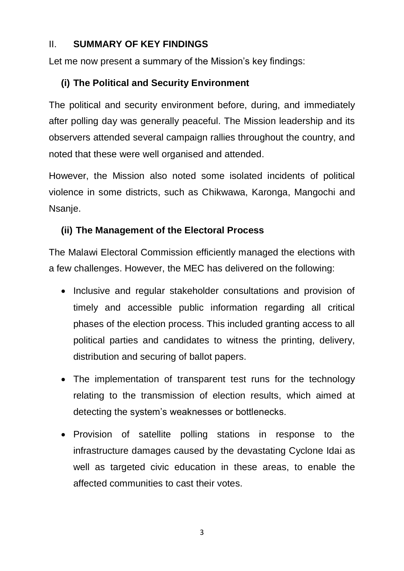# II. **SUMMARY OF KEY FINDINGS**

Let me now present a summary of the Mission's key findings:

# **(i) The Political and Security Environment**

The political and security environment before, during, and immediately after polling day was generally peaceful. The Mission leadership and its observers attended several campaign rallies throughout the country, and noted that these were well organised and attended.

However, the Mission also noted some isolated incidents of political violence in some districts, such as Chikwawa, Karonga, Mangochi and Nsanje.

# **(ii) The Management of the Electoral Process**

The Malawi Electoral Commission efficiently managed the elections with a few challenges. However, the MEC has delivered on the following:

- Inclusive and regular stakeholder consultations and provision of timely and accessible public information regarding all critical phases of the election process. This included granting access to all political parties and candidates to witness the printing, delivery, distribution and securing of ballot papers.
- The implementation of transparent test runs for the technology relating to the transmission of election results, which aimed at detecting the system's weaknesses or bottlenecks.
- Provision of satellite polling stations in response to the infrastructure damages caused by the devastating Cyclone Idai as well as targeted civic education in these areas, to enable the affected communities to cast their votes.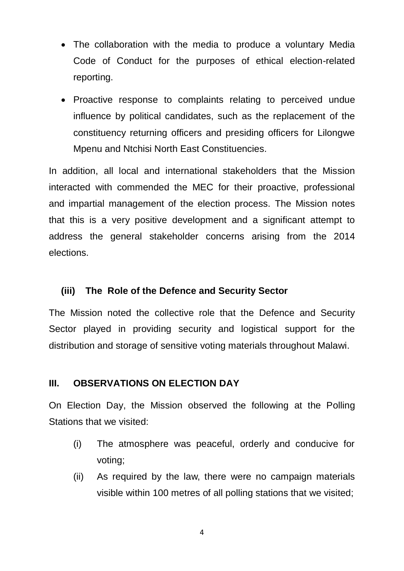- The collaboration with the media to produce a voluntary Media Code of Conduct for the purposes of ethical election-related reporting.
- Proactive response to complaints relating to perceived undue influence by political candidates, such as the replacement of the constituency returning officers and presiding officers for Lilongwe Mpenu and Ntchisi North East Constituencies.

In addition, all local and international stakeholders that the Mission interacted with commended the MEC for their proactive, professional and impartial management of the election process. The Mission notes that this is a very positive development and a significant attempt to address the general stakeholder concerns arising from the 2014 elections.

# **(iii) The Role of the Defence and Security Sector**

The Mission noted the collective role that the Defence and Security Sector played in providing security and logistical support for the distribution and storage of sensitive voting materials throughout Malawi.

#### **III. OBSERVATIONS ON ELECTION DAY**

On Election Day, the Mission observed the following at the Polling Stations that we visited:

- (i) The atmosphere was peaceful, orderly and conducive for voting;
- (ii) As required by the law, there were no campaign materials visible within 100 metres of all polling stations that we visited;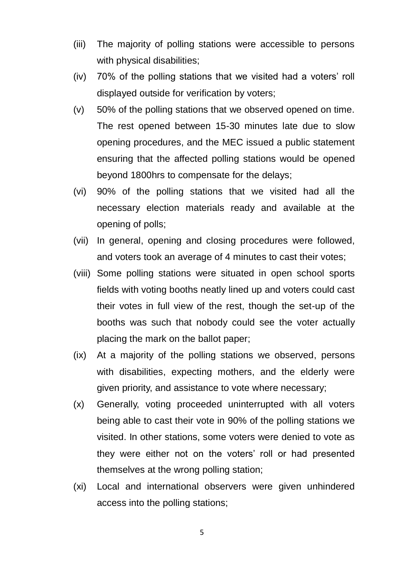- (iii) The majority of polling stations were accessible to persons with physical disabilities;
- (iv) 70% of the polling stations that we visited had a voters' roll displayed outside for verification by voters;
- (v) 50% of the polling stations that we observed opened on time. The rest opened between 15-30 minutes late due to slow opening procedures, and the MEC issued a public statement ensuring that the affected polling stations would be opened beyond 1800hrs to compensate for the delays;
- (vi) 90% of the polling stations that we visited had all the necessary election materials ready and available at the opening of polls;
- (vii) In general, opening and closing procedures were followed, and voters took an average of 4 minutes to cast their votes;
- (viii) Some polling stations were situated in open school sports fields with voting booths neatly lined up and voters could cast their votes in full view of the rest, though the set-up of the booths was such that nobody could see the voter actually placing the mark on the ballot paper;
- (ix) At a majority of the polling stations we observed, persons with disabilities, expecting mothers, and the elderly were given priority, and assistance to vote where necessary;
- (x) Generally, voting proceeded uninterrupted with all voters being able to cast their vote in 90% of the polling stations we visited. In other stations, some voters were denied to vote as they were either not on the voters' roll or had presented themselves at the wrong polling station;
- (xi) Local and international observers were given unhindered access into the polling stations;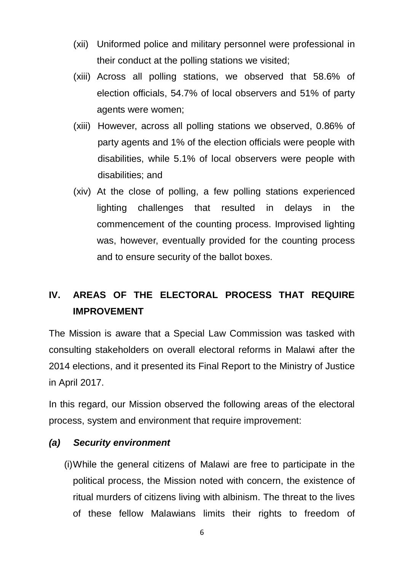- (xii) Uniformed police and military personnel were professional in their conduct at the polling stations we visited;
- (xiii) Across all polling stations, we observed that 58.6% of election officials, 54.7% of local observers and 51% of party agents were women;
- (xiii) However, across all polling stations we observed, 0.86% of party agents and 1% of the election officials were people with disabilities, while 5.1% of local observers were people with disabilities; and
- (xiv) At the close of polling, a few polling stations experienced lighting challenges that resulted in delays in the commencement of the counting process. Improvised lighting was, however, eventually provided for the counting process and to ensure security of the ballot boxes.

# **IV. AREAS OF THE ELECTORAL PROCESS THAT REQUIRE IMPROVEMENT**

The Mission is aware that a Special Law Commission was tasked with consulting stakeholders on overall electoral reforms in Malawi after the 2014 elections, and it presented its Final Report to the Ministry of Justice in April 2017.

In this regard, our Mission observed the following areas of the electoral process, system and environment that require improvement:

#### *(a) Security environment*

(i)While the general citizens of Malawi are free to participate in the political process, the Mission noted with concern, the existence of ritual murders of citizens living with albinism. The threat to the lives of these fellow Malawians limits their rights to freedom of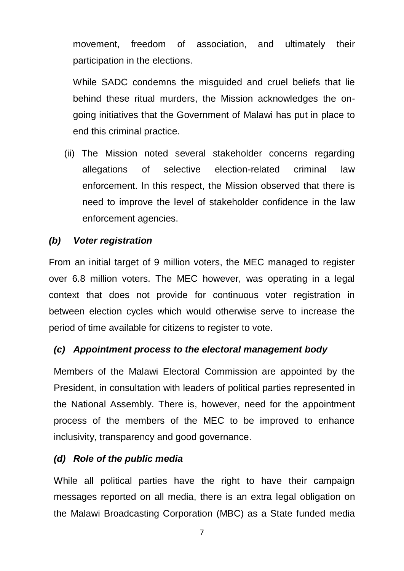movement, freedom of association, and ultimately their participation in the elections.

While SADC condemns the misguided and cruel beliefs that lie behind these ritual murders, the Mission acknowledges the ongoing initiatives that the Government of Malawi has put in place to end this criminal practice.

(ii) The Mission noted several stakeholder concerns regarding allegations of selective election-related criminal law enforcement. In this respect, the Mission observed that there is need to improve the level of stakeholder confidence in the law enforcement agencies.

#### *(b) Voter registration*

From an initial target of 9 million voters, the MEC managed to register over 6.8 million voters. The MEC however, was operating in a legal context that does not provide for continuous voter registration in between election cycles which would otherwise serve to increase the period of time available for citizens to register to vote.

# *(c) Appointment process to the electoral management body*

Members of the Malawi Electoral Commission are appointed by the President, in consultation with leaders of political parties represented in the National Assembly. There is, however, need for the appointment process of the members of the MEC to be improved to enhance inclusivity, transparency and good governance.

# *(d) Role of the public media*

While all political parties have the right to have their campaign messages reported on all media, there is an extra legal obligation on the Malawi Broadcasting Corporation (MBC) as a State funded media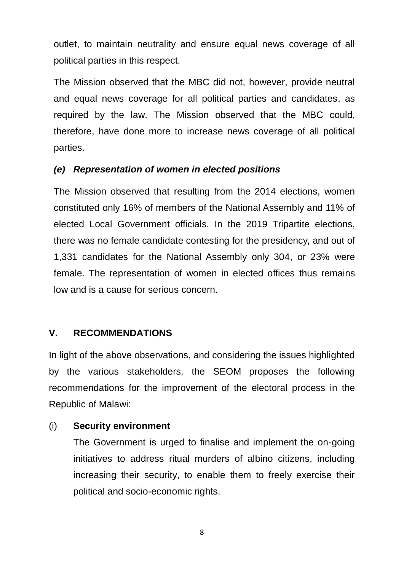outlet, to maintain neutrality and ensure equal news coverage of all political parties in this respect.

The Mission observed that the MBC did not, however, provide neutral and equal news coverage for all political parties and candidates, as required by the law. The Mission observed that the MBC could, therefore, have done more to increase news coverage of all political parties.

# *(e) Representation of women in elected positions*

The Mission observed that resulting from the 2014 elections, women constituted only 16% of members of the National Assembly and 11% of elected Local Government officials. In the 2019 Tripartite elections, there was no female candidate contesting for the presidency, and out of 1,331 candidates for the National Assembly only 304, or 23% were female. The representation of women in elected offices thus remains low and is a cause for serious concern.

# **V. RECOMMENDATIONS**

In light of the above observations, and considering the issues highlighted by the various stakeholders, the SEOM proposes the following recommendations for the improvement of the electoral process in the Republic of Malawi:

#### (i) **Security environment**

The Government is urged to finalise and implement the on-going initiatives to address ritual murders of albino citizens, including increasing their security, to enable them to freely exercise their political and socio-economic rights.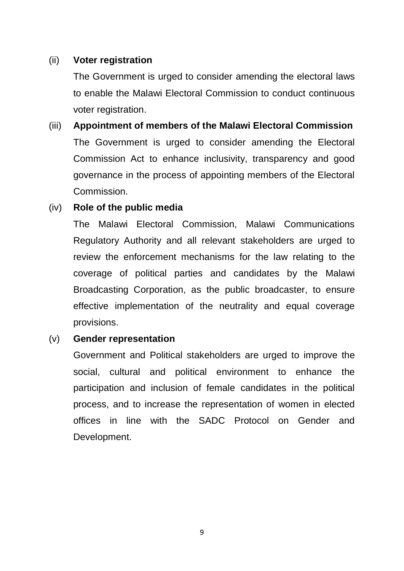# (ii) **Voter registration**

The Government is urged to consider amending the electoral laws to enable the Malawi Electoral Commission to conduct continuous voter registration.

# (iii) **Appointment of members of the Malawi Electoral Commission** The Government is urged to consider amending the Electoral Commission Act to enhance inclusivity, transparency and good governance in the process of appointing members of the Electoral Commission.

# (iv) **Role of the public media**

The Malawi Electoral Commission, Malawi Communications Regulatory Authority and all relevant stakeholders are urged to review the enforcement mechanisms for the law relating to the coverage of political parties and candidates by the Malawi Broadcasting Corporation, as the public broadcaster, to ensure effective implementation of the neutrality and equal coverage provisions.

# (v) **Gender representation**

Government and Political stakeholders are urged to improve the social, cultural and political environment to enhance the participation and inclusion of female candidates in the political process, and to increase the representation of women in elected offices in line with the SADC Protocol on Gender and Development.